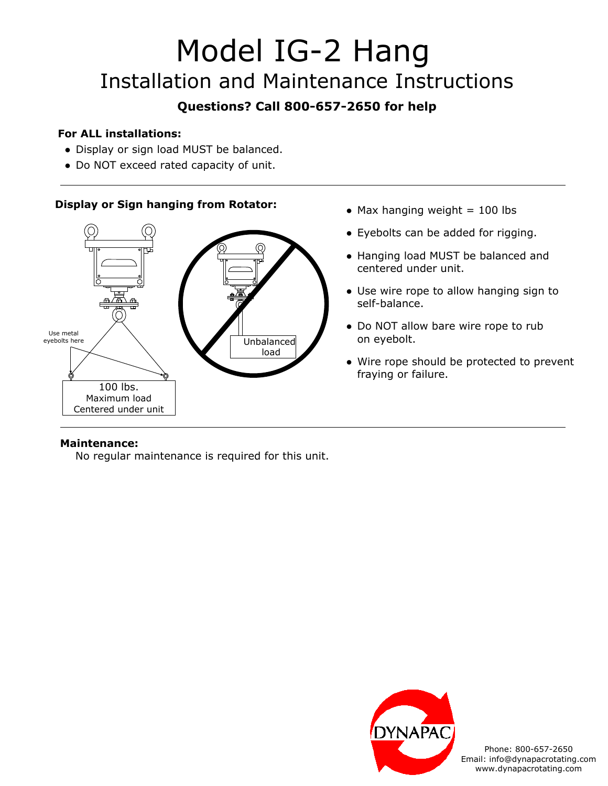# Model IG-2 Hang Installation and Maintenance Instructions

# **Questions? Call 800-657-2650 for help**

## **For ALL installations:**

- Display or sign load MUST be balanced.
- Do NOT exceed rated capacity of unit.

## **Display or Sign hanging from Rotator:**



- $\bullet$  Max hanging weight = 100 lbs
- Eyebolts can be added for rigging.
- Hanging load MUST be balanced and centered under unit.
- Use wire rope to allow hanging sign to self-balance.
- Do NOT allow bare wire rope to rub on eyebolt.
- Wire rope should be protected to prevent fraying or failure.

### **Maintenance:**

No regular maintenance is required for this unit.